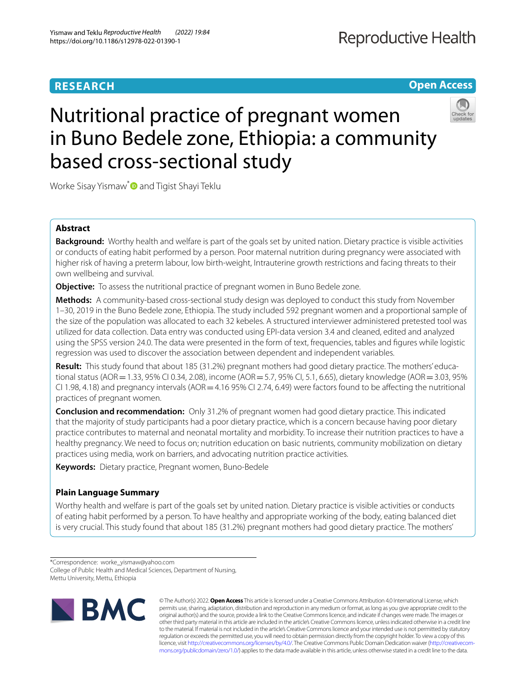# **RESEARCH**

# **Reproductive Health**

**Open Access**

# Nutritional practice of pregnant women in Buno Bedele zone, Ethiopia: a community based cross-sectional study



Worke Sisay Yismaw[\\*](http://orcid.org/0000-0002-7277-8490)<sup>O</sup> and Tigist Shayi Teklu

# **Abstract**

**Background:** Worthy health and welfare is part of the goals set by united nation. Dietary practice is visible activities or conducts of eating habit performed by a person. Poor maternal nutrition during pregnancy were associated with higher risk of having a preterm labour, low birth-weight, Intrauterine growth restrictions and facing threats to their own wellbeing and survival.

**Objective:** To assess the nutritional practice of pregnant women in Buno Bedele zone.

**Methods:** A community-based cross-sectional study design was deployed to conduct this study from November 1–30, 2019 in the Buno Bedele zone, Ethiopia. The study included 592 pregnant women and a proportional sample of the size of the population was allocated to each 32 kebeles. A structured interviewer administered pretested tool was utilized for data collection. Data entry was conducted using EPI-data version 3.4 and cleaned, edited and analyzed using the SPSS version 24.0. The data were presented in the form of text, frequencies, tables and fgures while logistic regression was used to discover the association between dependent and independent variables.

**Result:** This study found that about 185 (31.2%) pregnant mothers had good dietary practice. The mothers' educational status (AOR = 1.33, 95% CI 0.34, 2.08), income (AOR = 5.7, 95% CI, 5.1, 6.65), dietary knowledge (AOR = 3.03, 95% CI 1.98, 4.18) and pregnancy intervals ( $AOR = 4.16$  95% CI 2.74, 6.49) were factors found to be affecting the nutritional practices of pregnant women.

**Conclusion and recommendation:** Only 31.2% of pregnant women had good dietary practice. This indicated that the majority of study participants had a poor dietary practice, which is a concern because having poor dietary practice contributes to maternal and neonatal mortality and morbidity. To increase their nutrition practices to have a healthy pregnancy. We need to focus on; nutrition education on basic nutrients, community mobilization on dietary practices using media, work on barriers, and advocating nutrition practice activities.

**Keywords:** Dietary practice, Pregnant women, Buno-Bedele

# **Plain Language Summary**

Worthy health and welfare is part of the goals set by united nation. Dietary practice is visible activities or conducts of eating habit performed by a person. To have healthy and appropriate working of the body, eating balanced diet is very crucial. This study found that about 185 (31.2%) pregnant mothers had good dietary practice. The mothers'

<sup>\*</sup>Correspondence: worke\_yismaw@yahoo.com College of Public Health and Medical Sciences, Department of Nursing, Mettu University, Mettu, Ethiopia



© The Author(s) 2022. **Open Access** This article is licensed under a Creative Commons Attribution 4.0 International License, which permits use, sharing, adaptation, distribution and reproduction in any medium or format, as long as you give appropriate credit to the original author(s) and the source, provide a link to the Creative Commons licence, and indicate if changes were made. The images or other third party material in this article are included in the article's Creative Commons licence, unless indicated otherwise in a credit line to the material. If material is not included in the article's Creative Commons licence and your intended use is not permitted by statutory regulation or exceeds the permitted use, you will need to obtain permission directly from the copyright holder. To view a copy of this licence, visit [http://creativecommons.org/licenses/by/4.0/.](http://creativecommons.org/licenses/by/4.0/) The Creative Commons Public Domain Dedication waiver ([http://creativecom](http://creativecommons.org/publicdomain/zero/1.0/)[mons.org/publicdomain/zero/1.0/\)](http://creativecommons.org/publicdomain/zero/1.0/) applies to the data made available in this article, unless otherwise stated in a credit line to the data.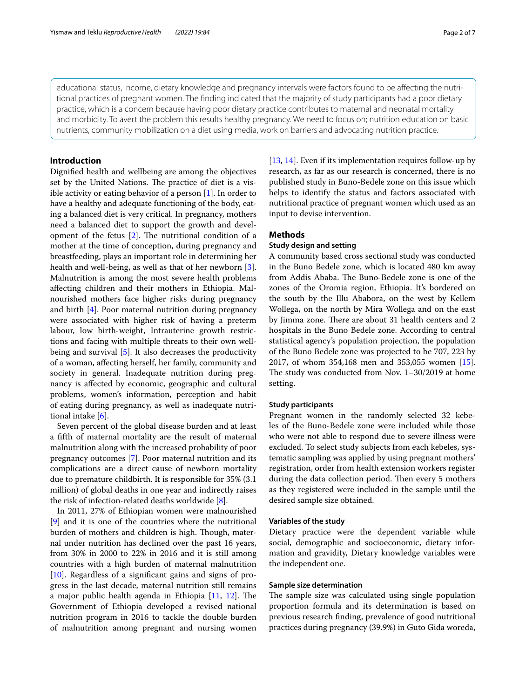educational status, income, dietary knowledge and pregnancy intervals were factors found to be afecting the nutritional practices of pregnant women. The fnding indicated that the majority of study participants had a poor dietary practice, which is a concern because having poor dietary practice contributes to maternal and neonatal mortality and morbidity. To avert the problem this results healthy pregnancy. We need to focus on; nutrition education on basic nutrients, community mobilization on a diet using media, work on barriers and advocating nutrition practice.

# **Introduction**

Dignifed health and wellbeing are among the objectives set by the United Nations. The practice of diet is a visible activity or eating behavior of a person  $[1]$  $[1]$ . In order to have a healthy and adequate functioning of the body, eating a balanced diet is very critical. In pregnancy, mothers need a balanced diet to support the growth and development of the fetus  $[2]$  $[2]$ . The nutritional condition of a mother at the time of conception, during pregnancy and breastfeeding, plays an important role in determining her health and well-being, as well as that of her newborn [\[3](#page-6-2)]. Malnutrition is among the most severe health problems afecting children and their mothers in Ethiopia. Malnourished mothers face higher risks during pregnancy and birth [[4](#page-6-3)]. Poor maternal nutrition during pregnancy were associated with higher risk of having a preterm labour, low birth-weight, Intrauterine growth restrictions and facing with multiple threats to their own wellbeing and survival [\[5](#page-6-4)]. It also decreases the productivity of a woman, afecting herself, her family, community and society in general. Inadequate nutrition during pregnancy is afected by economic, geographic and cultural problems, women's information, perception and habit of eating during pregnancy, as well as inadequate nutritional intake [\[6\]](#page-6-5).

Seven percent of the global disease burden and at least a ffth of maternal mortality are the result of maternal malnutrition along with the increased probability of poor pregnancy outcomes [\[7](#page-6-6)]. Poor maternal nutrition and its complications are a direct cause of newborn mortality due to premature childbirth. It is responsible for 35% (3.1 million) of global deaths in one year and indirectly raises the risk of infection-related deaths worldwide [[8\]](#page-6-7).

In 2011, 27% of Ethiopian women were malnourished [[9\]](#page-6-8) and it is one of the countries where the nutritional burden of mothers and children is high. Though, maternal under nutrition has declined over the past 16 years, from 30% in 2000 to 22% in 2016 and it is still among countries with a high burden of maternal malnutrition [[10\]](#page-6-9). Regardless of a signifcant gains and signs of progress in the last decade, maternal nutrition still remains a major public health agenda in Ethiopia  $[11, 12]$  $[11, 12]$  $[11, 12]$ . The Government of Ethiopia developed a revised national nutrition program in 2016 to tackle the double burden of malnutrition among pregnant and nursing women [[13,](#page-6-12) [14](#page-6-13)]. Even if its implementation requires follow-up by research, as far as our research is concerned, there is no published study in Buno-Bedele zone on this issue which helps to identify the status and factors associated with nutritional practice of pregnant women which used as an input to devise intervention.

# **Methods**

# **Study design and setting**

A community based cross sectional study was conducted in the Buno Bedele zone, which is located 480 km away from Addis Ababa. The Buno-Bedele zone is one of the zones of the Oromia region, Ethiopia. It's bordered on the south by the Illu Ababora, on the west by Kellem Wollega, on the north by Mira Wollega and on the east by Jimma zone. There are about 31 health centers and 2 hospitals in the Buno Bedele zone. According to central statistical agency's population projection, the population of the Buno Bedele zone was projected to be 707, 223 by 2017, of whom 354,168 men and 353,055 women [\[15](#page-6-14)]. The study was conducted from Nov.  $1-30/2019$  at home setting.

## **Study participants**

Pregnant women in the randomly selected 32 kebeles of the Buno-Bedele zone were included while those who were not able to respond due to severe illness were excluded. To select study subjects from each kebeles, systematic sampling was applied by using pregnant mothers' registration, order from health extension workers register during the data collection period. Then every 5 mothers as they registered were included in the sample until the desired sample size obtained.

# **Variables of the study**

Dietary practice were the dependent variable while social, demographic and socioeconomic, dietary information and gravidity, Dietary knowledge variables were the independent one.

# **Sample size determination**

The sample size was calculated using single population proportion formula and its determination is based on previous research fnding, prevalence of good nutritional practices during pregnancy (39.9%) in Guto Gida woreda,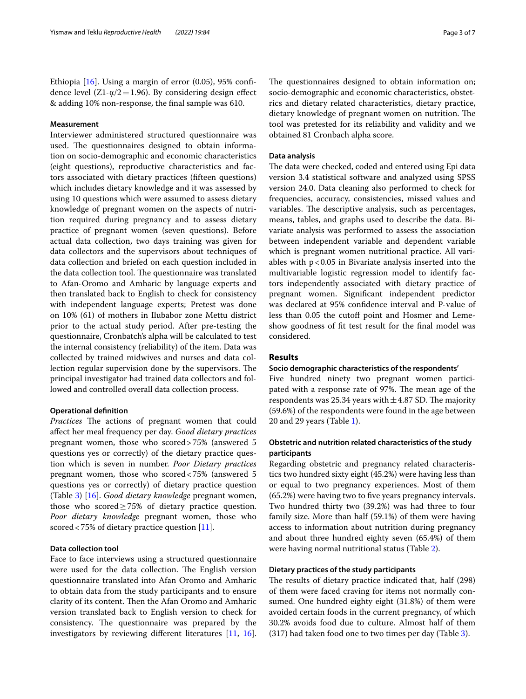Ethiopia [\[16](#page-6-15)]. Using a margin of error (0.05), 95% confdence level  $(Z1-\alpha/2=1.96)$ . By considering design effect & adding 10% non-response, the fnal sample was 610.

# **Measurement**

Interviewer administered structured questionnaire was used. The questionnaires designed to obtain information on socio-demographic and economic characteristics (eight questions), reproductive characteristics and factors associated with dietary practices (ffteen questions) which includes dietary knowledge and it was assessed by using 10 questions which were assumed to assess dietary knowledge of pregnant women on the aspects of nutrition required during pregnancy and to assess dietary practice of pregnant women (seven questions). Before actual data collection, two days training was given for data collectors and the supervisors about techniques of data collection and briefed on each question included in the data collection tool. The questionnaire was translated to Afan-Oromo and Amharic by language experts and then translated back to English to check for consistency with independent language experts; Pretest was done on 10% (61) of mothers in Ilubabor zone Mettu district prior to the actual study period. After pre-testing the questionnaire, Cronbatch's alpha will be calculated to test the internal consistency (reliability) of the item. Data was collected by trained midwives and nurses and data collection regular supervision done by the supervisors. The principal investigator had trained data collectors and followed and controlled overall data collection process.

#### **Operational defnition**

*Practices* The actions of pregnant women that could afect her meal frequency per day. *Good dietary practices* pregnant women, those who scored>75% (answered 5 questions yes or correctly) of the dietary practice question which is seven in number. *Poor Dietary practices* pregnant women, those who scored<75% (answered 5 questions yes or correctly) of dietary practice question (Table [3](#page-4-0)) [\[16](#page-6-15)]. *Good dietary knowledge* pregnant women, those who scored≥75% of dietary practice question. *Poor dietary knowledge* pregnant women, those who scored <75% of dietary practice question [[11\]](#page-6-10).

# **Data collection tool**

Face to face interviews using a structured questionnaire were used for the data collection. The English version questionnaire translated into Afan Oromo and Amharic to obtain data from the study participants and to ensure clarity of its content. Then the Afan Oromo and Amharic version translated back to English version to check for consistency. The questionnaire was prepared by the investigators by reviewing diferent literatures [[11,](#page-6-10) [16](#page-6-15)]. The questionnaires designed to obtain information on; socio-demographic and economic characteristics, obstetrics and dietary related characteristics, dietary practice, dietary knowledge of pregnant women on nutrition. The tool was pretested for its reliability and validity and we obtained 81 Cronbach alpha score.

## **Data analysis**

The data were checked, coded and entered using Epi data version 3.4 statistical software and analyzed using SPSS version 24.0. Data cleaning also performed to check for frequencies, accuracy, consistencies, missed values and variables. The descriptive analysis, such as percentages, means, tables, and graphs used to describe the data. Bivariate analysis was performed to assess the association between independent variable and dependent variable which is pregnant women nutritional practice. All variables with  $p < 0.05$  in Bivariate analysis inserted into the multivariable logistic regression model to identify factors independently associated with dietary practice of pregnant women. Signifcant independent predictor was declared at 95% confdence interval and P-value of less than 0.05 the cutoff point and Hosmer and Lemeshow goodness of ft test result for the fnal model was considered.

# **Results**

#### **Socio demographic characteristics of the respondents'**

Five hundred ninety two pregnant women participated with a response rate of 97%. The mean age of the respondents was 25.34 years with  $\pm$  4.87 SD. The majority (59.6%) of the respondents were found in the age between 20 and 29 years (Table [1\)](#page-3-0).

# **Obstetric and nutrition related characteristics of the study participants**

Regarding obstetric and pregnancy related characteristics two hundred sixty eight (45.2%) were having less than or equal to two pregnancy experiences. Most of them (65.2%) were having two to fve years pregnancy intervals. Two hundred thirty two (39.2%) was had three to four family size. More than half (59.1%) of them were having access to information about nutrition during pregnancy and about three hundred eighty seven (65.4%) of them were having normal nutritional status (Table [2](#page-3-1)).

# **Dietary practices of the study participants**

The results of dietary practice indicated that, half (298) of them were faced craving for items not normally consumed. One hundred eighty eight (31.8%) of them were avoided certain foods in the current pregnancy, of which 30.2% avoids food due to culture. Almost half of them (317) had taken food one to two times per day (Table [3\)](#page-4-0).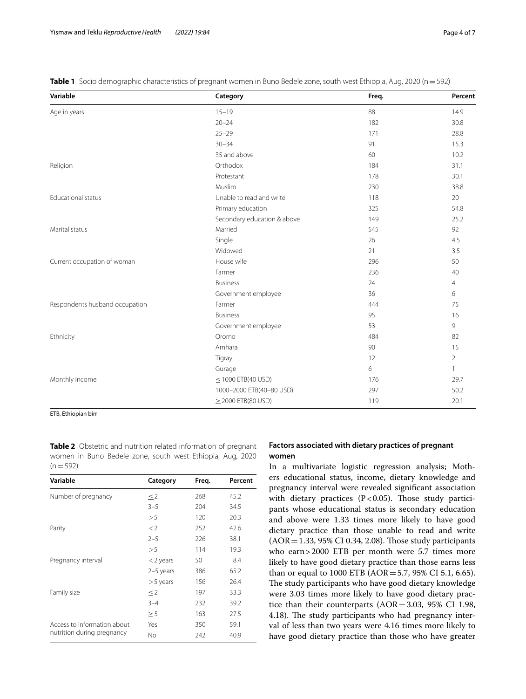| Variable                       | Category                    | Freq. | Percent        |
|--------------------------------|-----------------------------|-------|----------------|
| Age in years                   | $15 - 19$                   | 88    | 14.9           |
|                                | $20 - 24$                   | 182   | 30.8           |
|                                | $25 - 29$                   | 171   | 28.8           |
|                                | $30 - 34$                   | 91    | 15.3           |
|                                | 35 and above                | 60    | 10.2           |
| Religion                       | Orthodox                    | 184   | 31.1           |
|                                | Protestant                  | 178   | 30.1           |
|                                | Muslim                      | 230   | 38.8           |
| <b>Educational status</b>      | Unable to read and write    | 118   | 20             |
|                                | Primary education           | 325   | 54.8           |
|                                | Secondary education & above | 149   | 25.2           |
| Marital status                 | Married                     | 545   | 92             |
|                                | Single                      | 26    | 4.5            |
|                                | Widowed                     | 21    | 3.5            |
| Current occupation of woman    | House wife                  | 296   | 50             |
|                                | Farmer                      | 236   | 40             |
|                                | <b>Business</b>             | 24    | $\overline{4}$ |
|                                | Government employee         | 36    | 6              |
| Respondents husband occupation | Farmer                      | 444   | 75             |
|                                | <b>Business</b>             | 95    | 16             |
|                                | Government employee         | 53    | 9              |
| Ethnicity                      | Oromo                       | 484   | 82             |
|                                | Amhara                      | 90    | 15             |
|                                | Tigray                      | 12    | $\overline{2}$ |
|                                | Gurage                      | 6     | $\mathbf{1}$   |
| Monthly income                 | $\leq$ 1000 ETB(40 USD)     | 176   | 29.7           |
|                                | 1000-2000 ETB(40-80 USD)    | 297   | 50.2           |
|                                | $\geq$ 2000 ETB(80 USD)     | 119   | 20.1           |

<span id="page-3-0"></span>**Table 1** Socio demographic characteristics of pregnant women in Buno Bedele zone, south west Ethiopia, Aug, 2020 (n=592)

ETB, Ethiopian birr

<span id="page-3-1"></span>**Table 2** Obstetric and nutrition related information of pregnant women in Buno Bedele zone, south west Ethiopia, Aug, 2020  $(n=592)$ 

| Variable                    | Category    | Freq. | Percent |
|-----------------------------|-------------|-------|---------|
| Number of pregnancy         | $\leq$ 2    | 268   | 45.2    |
|                             | $3 - 5$     | 204   | 34.5    |
|                             | > 5         | 120   | 20.3    |
| Parity                      | $\lt 2$     | 252   | 42.6    |
|                             | $2 - 5$     | 226   | 38.1    |
|                             | > 5         | 114   | 19.3    |
| Pregnancy interval          | $<$ 2 years | 50    | 8.4     |
|                             | $2-5$ years | 386   | 65.2    |
|                             | $> 5$ years | 156   | 26.4    |
| Family size                 | $\leq$ 2    | 197   | 33.3    |
|                             | $3 - 4$     | 232   | 39.2    |
|                             | $\geq$ 5    | 163   | 27.5    |
| Access to information about | Yes         | 350   | 59.1    |
| nutrition during pregnancy  | No.         | 242   | 40.9    |

# **Factors associated with dietary practices of pregnant women**

In a multivariate logistic regression analysis; Mothers educational status, income, dietary knowledge and pregnancy interval were revealed signifcant association with dietary practices ( $P < 0.05$ ). Those study participants whose educational status is secondary education and above were 1.33 times more likely to have good dietary practice than those unable to read and write  $(AOR = 1.33, 95\% \text{ CI } 0.34, 2.08)$ . Those study participants who earn>2000 ETB per month were 5.7 times more likely to have good dietary practice than those earns less than or equal to 1000 ETB (AOR=5.7, 95% CI 5.1, 6.65). The study participants who have good dietary knowledge were 3.03 times more likely to have good dietary practice than their counterparts (AOR=3.03, 95% CI 1.98, 4.18). The study participants who had pregnancy interval of less than two years were 4.16 times more likely to have good dietary practice than those who have greater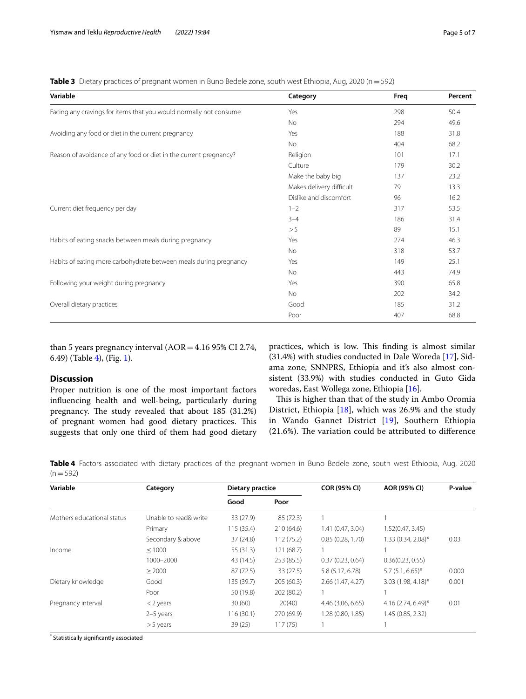<span id="page-4-0"></span>**Table 3** Dietary practices of pregnant women in Buno Bedele zone, south west Ethiopia, Aug, 2020 (n = 592)

| Facing any cravings for items that you would normally not consume<br>Yes      | 298<br>294<br>188 | 50.4<br>49.6 |
|-------------------------------------------------------------------------------|-------------------|--------------|
|                                                                               |                   |              |
| <b>No</b>                                                                     |                   |              |
| Avoiding any food or diet in the current pregnancy<br>Yes                     |                   | 31.8         |
| No                                                                            | 404               | 68.2         |
| Reason of avoidance of any food or diet in the current pregnancy?<br>Religion | 101               | 17.1         |
| Culture                                                                       | 179               | 30.2         |
| Make the baby big                                                             | 137               | 23.2         |
| Makes delivery difficult                                                      | 79                | 13.3         |
| Dislike and discomfort                                                        | 96                | 16.2         |
| Current diet frequency per day<br>$1 - 2$                                     | 317               | 53.5         |
| $3 - 4$                                                                       | 186               | 31.4         |
| > 5                                                                           | 89                | 15.1         |
| Habits of eating snacks between meals during pregnancy<br>Yes                 | 274               | 46.3         |
| <b>No</b>                                                                     | 318               | 53.7         |
| Habits of eating more carbohydrate between meals during pregnancy<br>Yes      | 149               | 25.1         |
| No                                                                            | 443               | 74.9         |
| Following your weight during pregnancy<br>Yes                                 | 390               | 65.8         |
| No                                                                            | 202               | 34.2         |
| Overall dietary practices<br>Good                                             | 185               | 31.2         |
| Poor                                                                          | 407               | 68.8         |

than 5 years pregnancy interval  $(AOR = 4.16 95\% CI 2.74,$ 6.49) (Table [4\)](#page-4-1), (Fig. [1\)](#page-5-0).

# **Discussion**

Proper nutrition is one of the most important factors infuencing health and well-being, particularly during pregnancy. The study revealed that about 185 (31.2%) of pregnant women had good dietary practices. This suggests that only one third of them had good dietary practices, which is low. This finding is almost similar (31.4%) with studies conducted in Dale Woreda [\[17](#page-6-16)], Sidama zone, SNNPRS, Ethiopia and it's also almost consistent (33.9%) with studies conducted in Guto Gida woredas, East Wollega zone, Ethiopia [\[16](#page-6-15)].

This is higher than that of the study in Ambo Oromia District, Ethiopia [[18](#page-6-17)], which was 26.9% and the study in Wando Gannet District [[19\]](#page-6-18), Southern Ethiopia  $(21.6%)$ . The variation could be attributed to difference

<span id="page-4-1"></span>**Table 4** Factors associated with dietary practices of the pregnant women in Buno Bedele zone, south west Ethiopia, Aug, 2020  $(n=592)$ 

| Variable                   | Category              | Dietary practice |            | <b>COR (95% CI)</b> | AOR (95% CI)           | P-value |
|----------------------------|-----------------------|------------------|------------|---------------------|------------------------|---------|
|                            |                       | Good             | Poor       |                     |                        |         |
| Mothers educational status | Unable to read& write | 33 (27.9)        | 85 (72.3)  |                     |                        |         |
|                            | Primary               | 115(35.4)        | 210 (64.6) | 1.41 (0.47, 3.04)   | 1.52(0.47, 3.45)       |         |
|                            | Secondary & above     | 37(24.8)         | 112(75.2)  | 0.85(0.28, 1.70)    | 1.33 (0.34, 2.08)*     | 0.03    |
| Income                     | < 1000                | 55(31.3)         | 121 (68.7) |                     |                        |         |
|                            | 1000-2000             | 43 (14.5)        | 253(85.5)  | 0.37(0.23, 0.64)    | 0.36(0.23, 0.55)       |         |
|                            | > 2000                | 87(72.5)         | 33 (27.5)  | 5.8 (5.17, 6.78)    | $5.7(5.1, 6.65)^*$     | 0.000   |
| Dietary knowledge          | Good                  | 135 (39.7)       | 205(60.3)  | 2.66 (1.47, 4.27)   | 3.03 (1.98, 4.18)*     | 0.001   |
|                            | Poor                  | 50 (19.8)        | 202 (80.2) |                     |                        |         |
| Pregnancy interval         | $<$ 2 years           | 30(60)           | 20(40)     | 4.46 (3.06, 6.65)   | $4.16(2.74, 6.49)^{*}$ | 0.01    |
|                            | $2-5$ years           | 116(30.1)        | 270 (69.9) | 1.28 (0.80, 1.85)   | 1.45 (0.85, 2.32)      |         |
|                            | $> 5$ years           | 39(25)           | 117(75)    |                     |                        |         |

\* Statistically signifcantly associated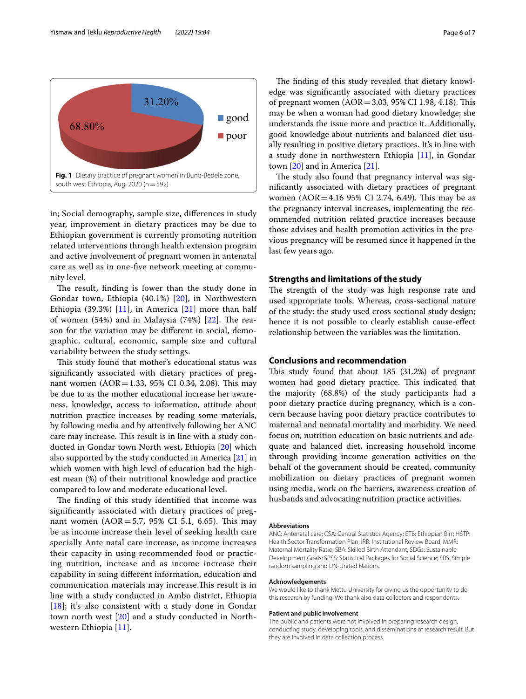Yismaw and Teklu *Reproductive Health (2022) 19:84* Page 6 of 7



<span id="page-5-0"></span>in; Social demography, sample size, diferences in study year, improvement in dietary practices may be due to Ethiopian government is currently promoting nutrition related interventions through health extension program and active involvement of pregnant women in antenatal care as well as in one-fve network meeting at community level.

The result, finding is lower than the study done in Gondar town, Ethiopia (40.1%) [\[20](#page-6-19)], in Northwestern Ethiopia (39.3%) [[11](#page-6-10)], in America  $[21]$  $[21]$  more than half of women  $(54%)$  and in Malaysia  $(74%)$   $[22]$  $[22]$ . The reason for the variation may be diferent in social, demographic, cultural, economic, sample size and cultural variability between the study settings.

This study found that mother's educational status was signifcantly associated with dietary practices of pregnant women  $(AOR = 1.33, 95\% \text{ CI } 0.34, 2.08)$ . This may be due to as the mother educational increase her awareness, knowledge, access to information, attitude about nutrition practice increases by reading some materials, by following media and by attentively following her ANC care may increase. This result is in line with a study conducted in Gondar town North west, Ethiopia [[20\]](#page-6-19) which also supported by the study conducted in America [\[21\]](#page-6-20) in which women with high level of education had the highest mean (%) of their nutritional knowledge and practice compared to low and moderate educational level.

The finding of this study identified that income was signifcantly associated with dietary practices of pregnant women  $(AOR = 5.7, 95\% \text{ CI } 5.1, 6.65)$ . This may be as income increase their level of seeking health care specially Ante natal care increase, as income increases their capacity in using recommended food or practicing nutrition, increase and as income increase their capability in suing diferent information, education and communication materials may increase. This result is in line with a study conducted in Ambo district, Ethiopia [[18](#page-6-17)]; it's also consistent with a study done in Gondar town north west [\[20\]](#page-6-19) and a study conducted in Northwestern Ethiopia [\[11](#page-6-10)].

The finding of this study revealed that dietary knowledge was signifcantly associated with dietary practices of pregnant women  $(AOR = 3.03, 95\% \text{ CI } 1.98, 4.18)$ . This may be when a woman had good dietary knowledge; she understands the issue more and practice it. Additionally, good knowledge about nutrients and balanced diet usually resulting in positive dietary practices. It's in line with a study done in northwestern Ethiopia [[11\]](#page-6-10), in Gondar town [\[20\]](#page-6-19) and in America [[21\]](#page-6-20).

The study also found that pregnancy interval was signifcantly associated with dietary practices of pregnant women ( $AOR = 4.16$  95% CI 2.74, 6.49). This may be as the pregnancy interval increases, implementing the recommended nutrition related practice increases because those advises and health promotion activities in the previous pregnancy will be resumed since it happened in the last few years ago.

# **Strengths and limitations of the study**

The strength of the study was high response rate and used appropriate tools. Whereas, cross-sectional nature of the study: the study used cross sectional study design; hence it is not possible to clearly establish cause-efect relationship between the variables was the limitation.

# **Conclusions and recommendation**

This study found that about  $185$  (31.2%) of pregnant women had good dietary practice. This indicated that the majority (68.8%) of the study participants had a poor dietary practice during pregnancy, which is a concern because having poor dietary practice contributes to maternal and neonatal mortality and morbidity. We need focus on; nutrition education on basic nutrients and adequate and balanced diet, increasing household income through providing income generation activities on the behalf of the government should be created, community mobilization on dietary practices of pregnant women using media, work on the barriers, awareness creation of husbands and advocating nutrition practice activities.

#### **Abbreviations**

ANC: Antenatal care; CSA: Central Statistics Agency; ETB: Ethiopian Birr; HSTP: Health Sector Transformation Plan; IRB: Institutional Review Board; MMR: Maternal Mortality Ratio; SBA: Skilled Birth Attendant; SDGs: Sustainable Development Goals; SPSS: Statistical Packages for Social Science; SRS: Simple random sampling and UN-United Nations.

#### **Acknowledgements**

We would like to thank Mettu University for giving us the opportunity to do this research by funding. We thank also data collectors and respondents.

#### **Patient and public involvement**

The public and patients were not involved in preparing research design, conducting study, developing tools, and disseminations of research result. But they are involved in data collection process.